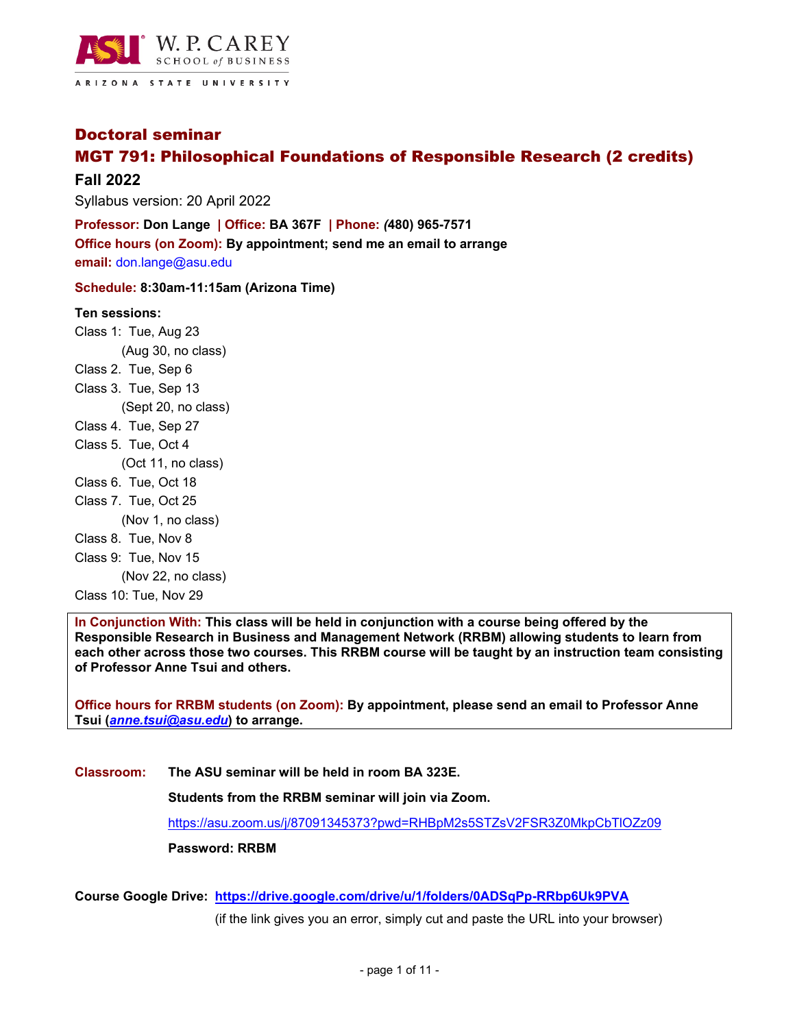

Doctoral seminar

# MGT 791: Philosophical Foundations of Responsible Research (2 credits)

### **Fall 2022**

Syllabus version: 20 April 2022

**Professor: Don Lange** *|* **Office: BA 367F** *|* **Phone:** *(***480) 965-7571 Office hours (on Zoom): By appointment; send me an email to arrange email:** don.lange@asu.edu

**Schedule: 8:30am-11:15am (Arizona Time)** 

#### **Ten sessions:**

Class 1: Tue, Aug 23

- (Aug 30, no class) Class 2. Tue, Sep 6
- Class 3. Tue, Sep 13

(Sept 20, no class)

- Class 4. Tue, Sep 27
- Class 5. Tue, Oct 4

(Oct 11, no class)

- Class 6. Tue, Oct 18
- Class 7. Tue, Oct 25

(Nov 1, no class)

- Class 8. Tue, Nov 8
- Class 9: Tue, Nov 15

(Nov 22, no class)

Class 10: Tue, Nov 29

**In Conjunction With: This class will be held in conjunction with a course being offered by the Responsible Research in Business and Management Network (RRBM) allowing students to learn from each other across those two courses. This RRBM course will be taught by an instruction team consisting of Professor Anne Tsui and others.** 

**Office hours for RRBM students (on Zoom): By appointment, please send an email to Professor Anne Tsui (***anne.tsui@asu.edu***) to arrange.** 

**Classroom: The ASU seminar will be held in room BA 323E.** 

**Students from the RRBM seminar will join via Zoom.** 

https://asu.zoom.us/j/87091345373?pwd=RHBpM2s5STZsV2FSR3Z0MkpCbTlOZz09

**Password: RRBM** 

**Course Google Drive: https://drive.google.com/drive/u/1/folders/0ADSqPp-RRbp6Uk9PVA** 

(if the link gives you an error, simply cut and paste the URL into your browser)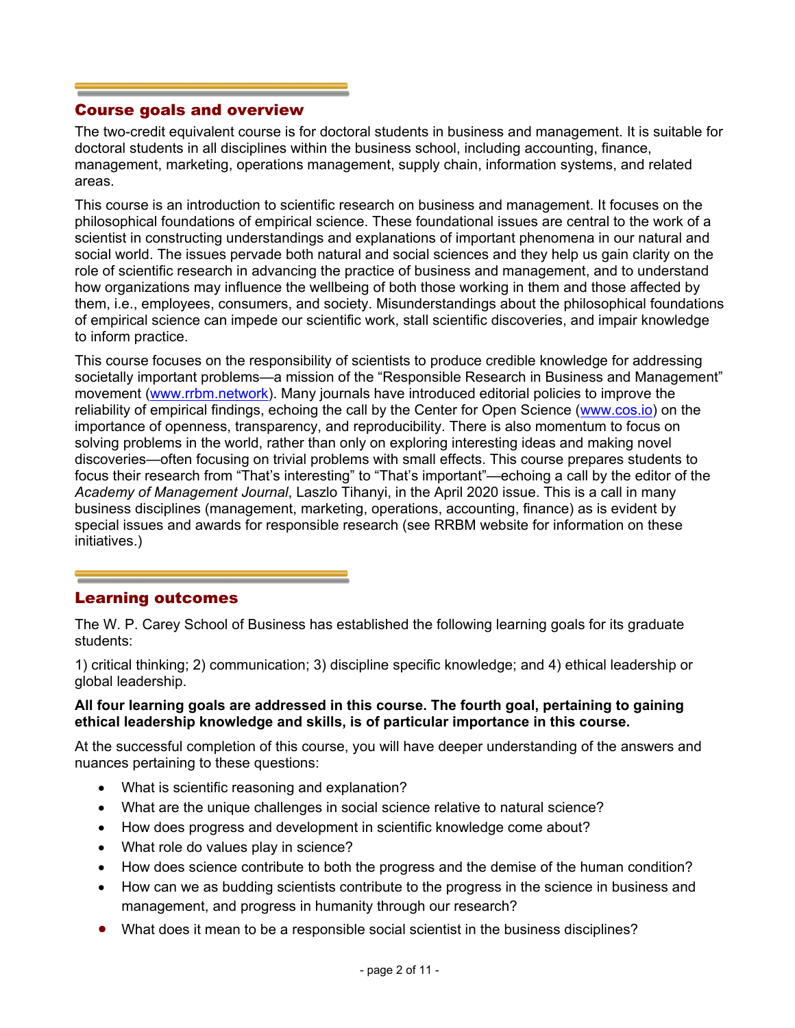### Course goals and overview

The two-credit equivalent course is for doctoral students in business and management. It is suitable for doctoral students in all disciplines within the business school, including accounting, finance, management, marketing, operations management, supply chain, information systems, and related areas.

This course is an introduction to scientific research on business and management. It focuses on the philosophical foundations of empirical science. These foundational issues are central to the work of a scientist in constructing understandings and explanations of important phenomena in our natural and social world. The issues pervade both natural and social sciences and they help us gain clarity on the role of scientific research in advancing the practice of business and management, and to understand how organizations may influence the wellbeing of both those working in them and those affected by them, i.e., employees, consumers, and society. Misunderstandings about the philosophical foundations of empirical science can impede our scientific work, stall scientific discoveries, and impair knowledge to inform practice.

This course focuses on the responsibility of scientists to produce credible knowledge for addressing societally important problems—a mission of the "Responsible Research in Business and Management" movement (www.rrbm.network). Many journals have introduced editorial policies to improve the reliability of empirical findings, echoing the call by the Center for Open Science (www.cos.io) on the importance of openness, transparency, and reproducibility. There is also momentum to focus on solving problems in the world, rather than only on exploring interesting ideas and making novel discoveries—often focusing on trivial problems with small effects. This course prepares students to focus their research from "That's interesting" to "That's important"—echoing a call by the editor of the *Academy of Management Journal*, Laszlo Tihanyi, in the April 2020 issue. This is a call in many business disciplines (management, marketing, operations, accounting, finance) as is evident by special issues and awards for responsible research (see RRBM website for information on these initiatives.)

### Learning outcomes

The W. P. Carey School of Business has established the following learning goals for its graduate students:

1) critical thinking; 2) communication; 3) discipline specific knowledge; and 4) ethical leadership or global leadership.

### **All four learning goals are addressed in this course. The fourth goal, pertaining to gaining ethical leadership knowledge and skills, is of particular importance in this course.**

At the successful completion of this course, you will have deeper understanding of the answers and nuances pertaining to these questions:

- What is scientific reasoning and explanation?
- What are the unique challenges in social science relative to natural science?
- How does progress and development in scientific knowledge come about?
- What role do values play in science?
- How does science contribute to both the progress and the demise of the human condition?
- How can we as budding scientists contribute to the progress in the science in business and management, and progress in humanity through our research?
- What does it mean to be a responsible social scientist in the business disciplines?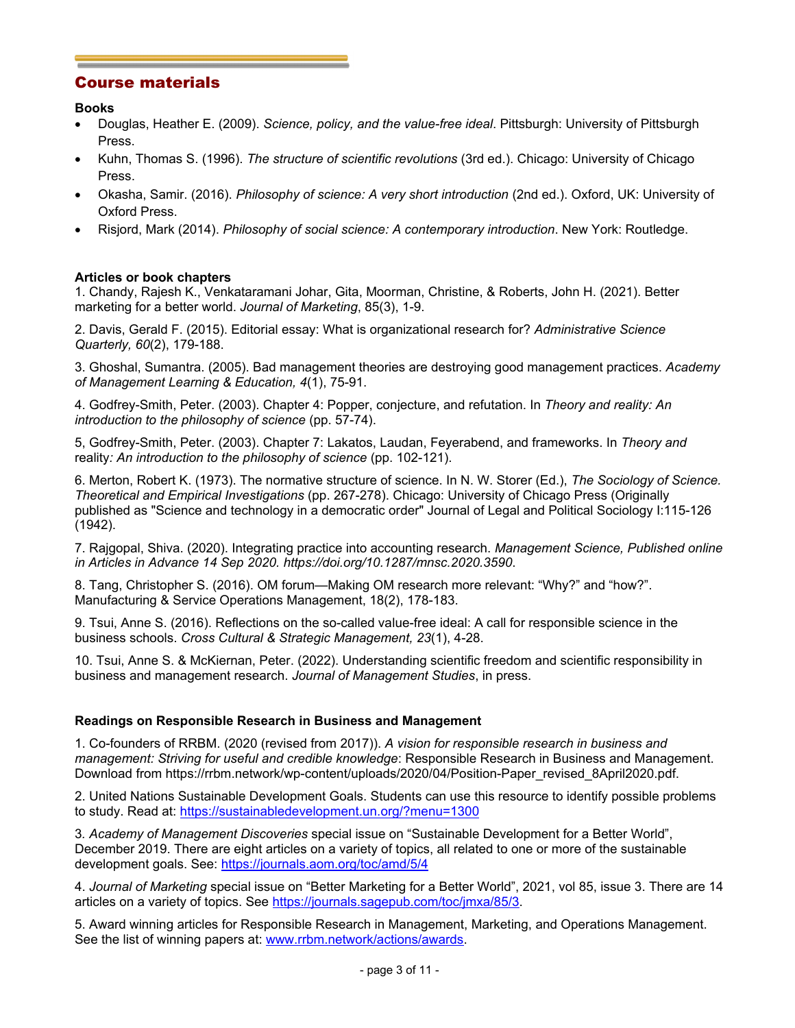### Course materials

### **Books**

- Douglas, Heather E. (2009). *Science, policy, and the value-free ideal*. Pittsburgh: University of Pittsburgh Press.
- Kuhn, Thomas S. (1996). *The structure of scientific revolutions* (3rd ed.). Chicago: University of Chicago Press.
- Okasha, Samir. (2016). *Philosophy of science: A very short introduction* (2nd ed.). Oxford, UK: University of Oxford Press.
- Risjord, Mark (2014). *Philosophy of social science: A contemporary introduction*. New York: Routledge.

### **Articles or book chapters**

1. Chandy, Rajesh K., Venkataramani Johar, Gita, Moorman, Christine, & Roberts, John H. (2021). Better marketing for a better world. *Journal of Marketing*, 85(3), 1-9.

2. Davis, Gerald F. (2015). Editorial essay: What is organizational research for? *Administrative Science Quarterly, 60*(2), 179-188.

3. Ghoshal, Sumantra. (2005). Bad management theories are destroying good management practices. *Academy of Management Learning & Education, 4*(1), 75-91.

4. Godfrey-Smith, Peter. (2003). Chapter 4: Popper, conjecture, and refutation. In *Theory and reality: An introduction to the philosophy of science* (pp. 57-74).

5, Godfrey-Smith, Peter. (2003). Chapter 7: Lakatos, Laudan, Feyerabend, and frameworks. In *Theory and*  reality*: An introduction to the philosophy of science* (pp. 102-121).

6. Merton, Robert K. (1973). The normative structure of science. In N. W. Storer (Ed.), *The Sociology of Science. Theoretical and Empirical Investigations* (pp. 267-278). Chicago: University of Chicago Press (Originally published as "Science and technology in a democratic order" Journal of Legal and Political Sociology I:115-126 (1942).

7. Rajgopal, Shiva. (2020). Integrating practice into accounting research. *Management Science, Published online in Articles in Advance 14 Sep 2020. https://doi.org/10.1287/mnsc.2020.3590*.

8. Tang, Christopher S. (2016). OM forum—Making OM research more relevant: "Why?" and "how?". Manufacturing & Service Operations Management, 18(2), 178-183.

9. Tsui, Anne S. (2016). Reflections on the so-called value-free ideal: A call for responsible science in the business schools. *Cross Cultural & Strategic Management, 23*(1), 4-28.

10. Tsui, Anne S. & McKiernan, Peter. (2022). Understanding scientific freedom and scientific responsibility in business and management research. *Journal of Management Studies*, in press.

### **Readings on Responsible Research in Business and Management**

1. Co-founders of RRBM. (2020 (revised from 2017)). *A vision for responsible research in business and management: Striving for useful and credible knowledge*: Responsible Research in Business and Management. Download from https://rrbm.network/wp-content/uploads/2020/04/Position-Paper\_revised\_8April2020.pdf.

2. United Nations Sustainable Development Goals. Students can use this resource to identify possible problems to study. Read at: https://sustainabledevelopment.un.org/?menu=1300

3*. Academy of Management Discoveries* special issue on "Sustainable Development for a Better World", December 2019. There are eight articles on a variety of topics, all related to one or more of the sustainable development goals. See: https://journals.aom.org/toc/amd/5/4

4. *Journal of Marketing* special issue on "Better Marketing for a Better World", 2021, vol 85, issue 3. There are 14 articles on a variety of topics. See https://journals.sagepub.com/toc/jmxa/85/3.

5. Award winning articles for Responsible Research in Management, Marketing, and Operations Management. See the list of winning papers at: www.rrbm.network/actions/awards.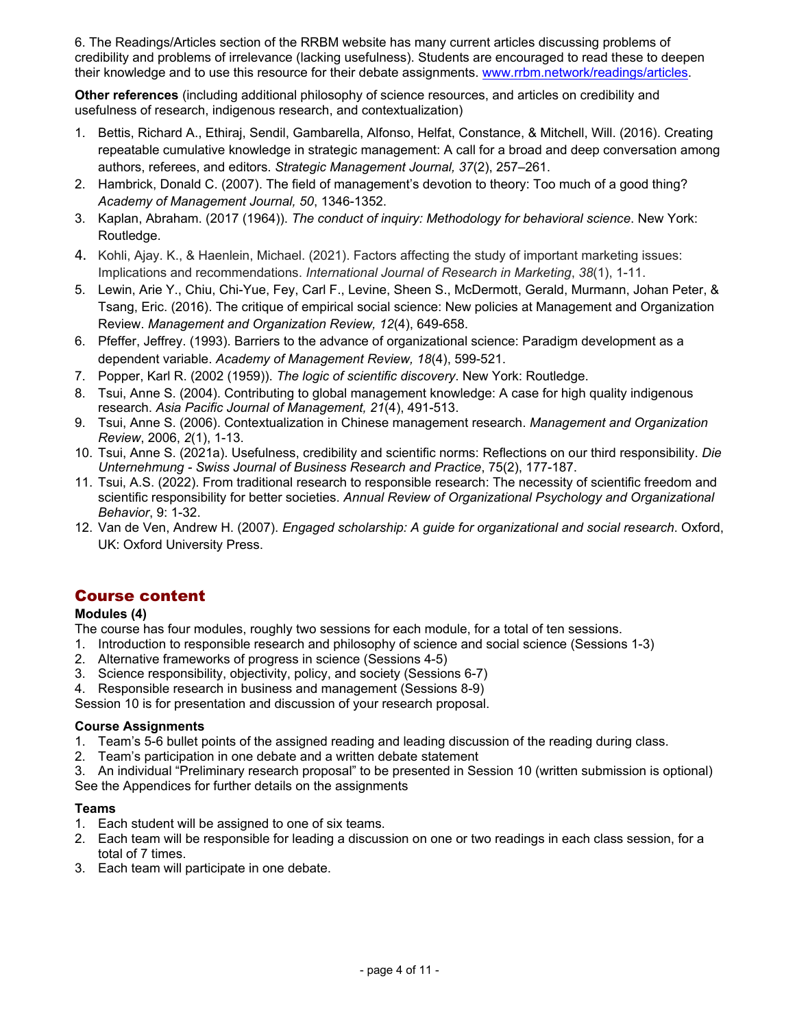6. The Readings/Articles section of the RRBM website has many current articles discussing problems of credibility and problems of irrelevance (lacking usefulness). Students are encouraged to read these to deepen their knowledge and to use this resource for their debate assignments. www.rrbm.network/readings/articles.

**Other references** (including additional philosophy of science resources, and articles on credibility and usefulness of research, indigenous research, and contextualization)

- 1. Bettis, Richard A., Ethiraj, Sendil, Gambarella, Alfonso, Helfat, Constance, & Mitchell, Will. (2016). Creating repeatable cumulative knowledge in strategic management: A call for a broad and deep conversation among authors, referees, and editors. *Strategic Management Journal, 37*(2), 257–261.
- 2. Hambrick, Donald C. (2007). The field of management's devotion to theory: Too much of a good thing? *Academy of Management Journal, 50*, 1346-1352.
- 3. Kaplan, Abraham. (2017 (1964)). *The conduct of inquiry: Methodology for behavioral science*. New York: Routledge.
- 4. Kohli, Ajay. K., & Haenlein, Michael. (2021). Factors affecting the study of important marketing issues: Implications and recommendations. *International Journal of Research in Marketing*, *38*(1), 1-11.
- 5. Lewin, Arie Y., Chiu, Chi-Yue, Fey, Carl F., Levine, Sheen S., McDermott, Gerald, Murmann, Johan Peter, & Tsang, Eric. (2016). The critique of empirical social science: New policies at Management and Organization Review. *Management and Organization Review, 12*(4), 649-658.
- 6. Pfeffer, Jeffrey. (1993). Barriers to the advance of organizational science: Paradigm development as a dependent variable. *Academy of Management Review, 18*(4), 599-521.
- 7. Popper, Karl R. (2002 (1959)). *The logic of scientific discovery*. New York: Routledge.
- 8. Tsui, Anne S. (2004). Contributing to global management knowledge: A case for high quality indigenous research. *Asia Pacific Journal of Management, 21*(4), 491-513.
- 9. Tsui, Anne S. (2006). Contextualization in Chinese management research. *Management and Organization Review*, 2006, *2*(1), 1-13.
- 10. Tsui, Anne S. (2021a). Usefulness, credibility and scientific norms: Reflections on our third responsibility. *Die Unternehmung - Swiss Journal of Business Research and Practice*, 75(2), 177-187.
- 11. Tsui, A.S. (2022). From traditional research to responsible research: The necessity of scientific freedom and scientific responsibility for better societies. *Annual Review of Organizational Psychology and Organizational Behavior*, 9: 1-32.
- 12. Van de Ven, Andrew H. (2007). *Engaged scholarship: A guide for organizational and social research*. Oxford, UK: Oxford University Press.

## Course content

### **Modules (4)**

The course has four modules, roughly two sessions for each module, for a total of ten sessions.

- 1. Introduction to responsible research and philosophy of science and social science (Sessions 1-3)
- 2. Alternative frameworks of progress in science (Sessions 4-5)
- 3. Science responsibility, objectivity, policy, and society (Sessions 6-7)
- 4. Responsible research in business and management (Sessions 8-9)

Session 10 is for presentation and discussion of your research proposal.

### **Course Assignments**

- 1. Team's 5-6 bullet points of the assigned reading and leading discussion of the reading during class.
- 2. Team's participation in one debate and a written debate statement
- 3. An individual "Preliminary research proposal" to be presented in Session 10 (written submission is optional) See the Appendices for further details on the assignments

### **Teams**

- 1. Each student will be assigned to one of six teams.
- 2. Each team will be responsible for leading a discussion on one or two readings in each class session, for a total of 7 times.
- 3. Each team will participate in one debate.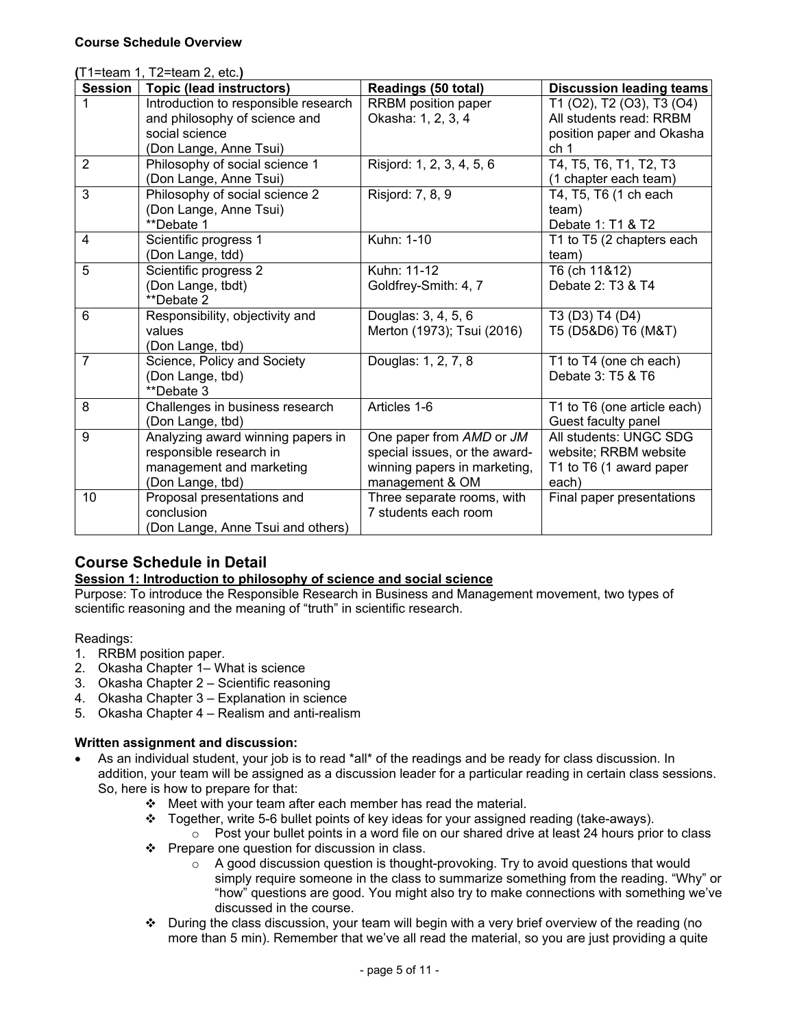| (T1=team 1, T2=team 2, etc.) |                                                                                                              |                                                                                                              |                                                                                     |
|------------------------------|--------------------------------------------------------------------------------------------------------------|--------------------------------------------------------------------------------------------------------------|-------------------------------------------------------------------------------------|
| <b>Session</b>               | <b>Topic (lead instructors)</b>                                                                              | Readings (50 total)                                                                                          | <b>Discussion leading teams</b>                                                     |
| 1                            | Introduction to responsible research<br>and philosophy of science and                                        | <b>RRBM</b> position paper<br>Okasha: 1, 2, 3, 4                                                             | T1 (O2), T2 (O3), T3 (O4)<br>All students read: RRBM                                |
|                              | social science<br>(Don Lange, Anne Tsui)                                                                     |                                                                                                              | position paper and Okasha<br>ch 1                                                   |
| $\overline{2}$               | Philosophy of social science 1<br>(Don Lange, Anne Tsui)                                                     | Risjord: 1, 2, 3, 4, 5, 6                                                                                    | T4, T5, T6, T1, T2, T3<br>(1 chapter each team)                                     |
| 3                            | Philosophy of social science 2<br>(Don Lange, Anne Tsui)<br>**Debate 1                                       | Risjord: 7, 8, 9                                                                                             | T4, T5, T6 (1 ch each<br>team)<br>Debate 1: T1 & T2                                 |
| $\overline{4}$               | Scientific progress 1<br>(Don Lange, tdd)                                                                    | Kuhn: 1-10                                                                                                   | T1 to T5 (2 chapters each<br>team)                                                  |
| 5                            | Scientific progress 2<br>(Don Lange, tbdt)<br>**Debate 2                                                     | Kuhn: 11-12<br>Goldfrey-Smith: 4, 7                                                                          | T6 (ch 11&12)<br>Debate 2: T3 & T4                                                  |
| 6                            | Responsibility, objectivity and<br>values<br>(Don Lange, tbd)                                                | Douglas: 3, 4, 5, 6<br>Merton (1973); Tsui (2016)                                                            | T3 (D3) T4 (D4)<br>T5 (D5&D6) T6 (M&T)                                              |
| $\overline{7}$               | Science, Policy and Society<br>(Don Lange, tbd)<br>**Debate 3                                                | Douglas: 1, 2, 7, 8                                                                                          | T1 to T4 (one ch each)<br>Debate 3: T5 & T6                                         |
| 8                            | Challenges in business research<br>(Don Lange, tbd)                                                          | Articles 1-6                                                                                                 | T1 to T6 (one article each)<br>Guest faculty panel                                  |
| 9                            | Analyzing award winning papers in<br>responsible research in<br>management and marketing<br>(Don Lange, tbd) | One paper from AMD or JM<br>special issues, or the award-<br>winning papers in marketing,<br>management & OM | All students: UNGC SDG<br>website; RRBM website<br>T1 to T6 (1 award paper<br>each) |
| 10                           | Proposal presentations and<br>conclusion<br>(Don Lange, Anne Tsui and others)                                | Three separate rooms, with<br>7 students each room                                                           | Final paper presentations                                                           |

# **Course Schedule in Detail**

### **Session 1: Introduction to philosophy of science and social science**

Purpose: To introduce the Responsible Research in Business and Management movement, two types of scientific reasoning and the meaning of "truth" in scientific research.

### Readings:

- 1. RRBM position paper.
- 2. Okasha Chapter 1– What is science
- 3. Okasha Chapter 2 Scientific reasoning
- 4. Okasha Chapter 3 Explanation in science
- 5. Okasha Chapter 4 Realism and anti-realism

### **Written assignment and discussion:**

- As an individual student, your job is to read \*all\* of the readings and be ready for class discussion. In addition, your team will be assigned as a discussion leader for a particular reading in certain class sessions. So, here is how to prepare for that:
	- $\div$  Meet with your team after each member has read the material.
	- $\div$  Together, write 5-6 bullet points of key ideas for your assigned reading (take-aways).
	- $\circ$  Post your bullet points in a word file on our shared drive at least 24 hours prior to class  $\div$  Prepare one question for discussion in class.
		- o A good discussion question is thought-provoking. Try to avoid questions that would simply require someone in the class to summarize something from the reading. "Why" or "how" questions are good. You might also try to make connections with something we've discussed in the course.
	- $\cdot \cdot$  During the class discussion, your team will begin with a very brief overview of the reading (no more than 5 min). Remember that we've all read the material, so you are just providing a quite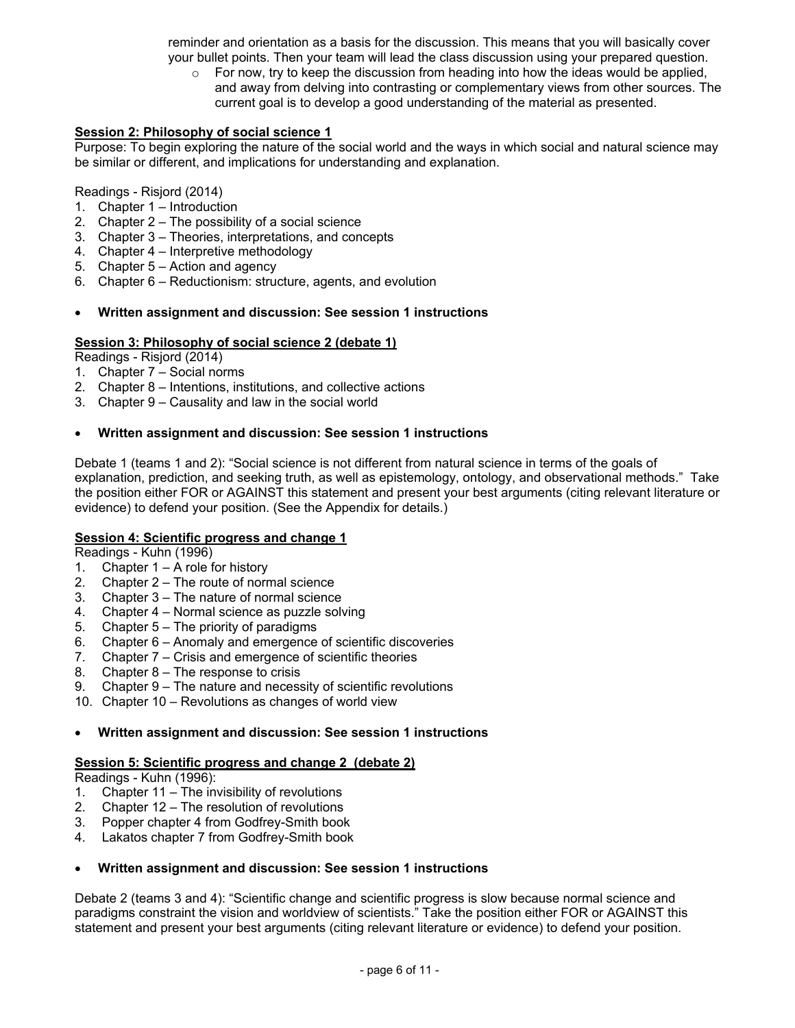reminder and orientation as a basis for the discussion. This means that you will basically cover your bullet points. Then your team will lead the class discussion using your prepared question.

 $\circ$  For now, try to keep the discussion from heading into how the ideas would be applied, and away from delving into contrasting or complementary views from other sources. The current goal is to develop a good understanding of the material as presented.

#### **Session 2: Philosophy of social science 1**

Purpose: To begin exploring the nature of the social world and the ways in which social and natural science may be similar or different, and implications for understanding and explanation.

#### Readings - Risjord (2014)

- 1. Chapter 1 Introduction
- 2. Chapter 2 The possibility of a social science
- 3. Chapter 3 Theories, interpretations, and concepts
- 4. Chapter 4 Interpretive methodology
- 5. Chapter 5 Action and agency
- 6. Chapter 6 Reductionism: structure, agents, and evolution

#### **Written assignment and discussion: See session 1 instructions**

#### **Session 3: Philosophy of social science 2 (debate 1)**

Readings - Risjord (2014)

- 1. Chapter 7 Social norms
- 2. Chapter 8 Intentions, institutions, and collective actions
- 3. Chapter 9 Causality and law in the social world

#### **Written assignment and discussion: See session 1 instructions**

Debate 1 (teams 1 and 2): "Social science is not different from natural science in terms of the goals of explanation, prediction, and seeking truth, as well as epistemology, ontology, and observational methods." Take the position either FOR or AGAINST this statement and present your best arguments (citing relevant literature or evidence) to defend your position. (See the Appendix for details.)

#### **Session 4: Scientific progress and change 1**

Readings - Kuhn (1996)

- 1. Chapter 1 A role for history
- 2. Chapter 2 The route of normal science
- 3. Chapter 3 The nature of normal science
- 4. Chapter 4 Normal science as puzzle solving
- 5. Chapter 5 The priority of paradigms
- 6. Chapter 6 Anomaly and emergence of scientific discoveries
- 7. Chapter 7 Crisis and emergence of scientific theories
- 8. Chapter 8 The response to crisis
- 9. Chapter 9 The nature and necessity of scientific revolutions
- 10. Chapter 10 Revolutions as changes of world view

#### **Written assignment and discussion: See session 1 instructions**

#### **Session 5: Scientific progress and change 2 (debate 2)**

Readings - Kuhn (1996):

- 1. Chapter 11 The invisibility of revolutions
- 2. Chapter 12 The resolution of revolutions
- 3. Popper chapter 4 from Godfrey-Smith book
- 4. Lakatos chapter 7 from Godfrey-Smith book

#### **Written assignment and discussion: See session 1 instructions**

Debate 2 (teams 3 and 4): "Scientific change and scientific progress is slow because normal science and paradigms constraint the vision and worldview of scientists." Take the position either FOR or AGAINST this statement and present your best arguments (citing relevant literature or evidence) to defend your position.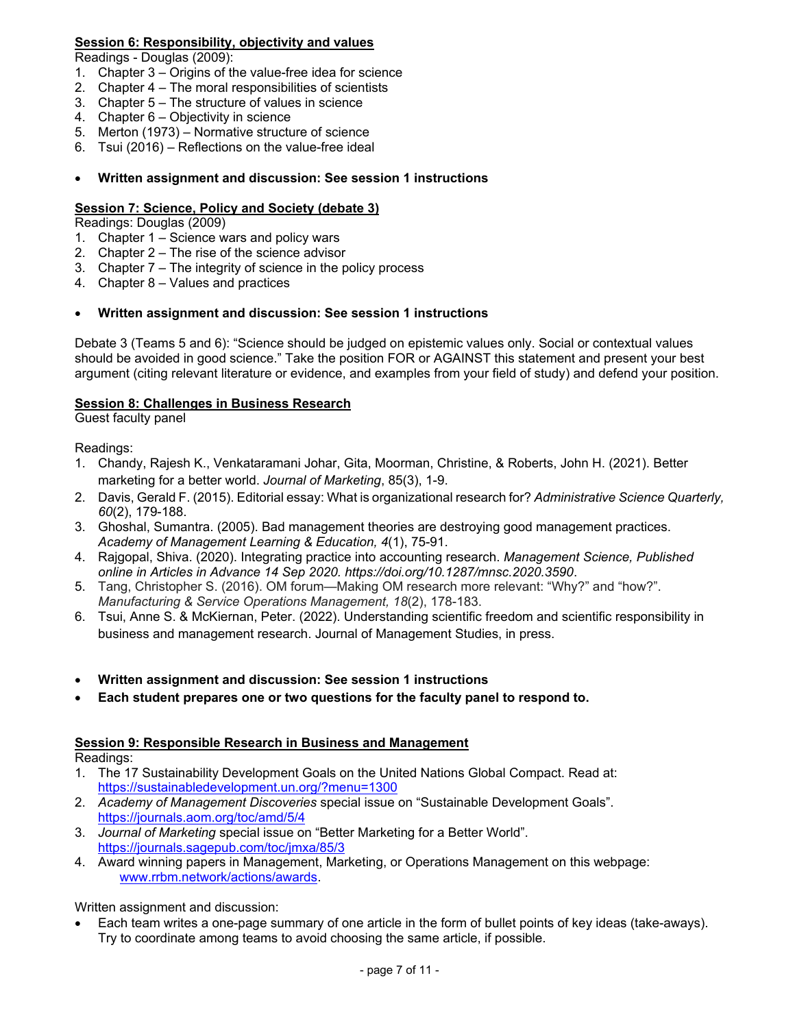### **Session 6: Responsibility, objectivity and values**

Readings - Douglas (2009):

- 1. Chapter 3 Origins of the value-free idea for science
- 2. Chapter 4 The moral responsibilities of scientists
- 3. Chapter 5 The structure of values in science
- 4. Chapter 6 Objectivity in science
- 5. Merton (1973) Normative structure of science
- 6. Tsui (2016) Reflections on the value-free ideal

#### **Written assignment and discussion: See session 1 instructions**

### **Session 7: Science, Policy and Society (debate 3)**

Readings: Douglas (2009)

- 1. Chapter 1 Science wars and policy wars
- 2. Chapter 2 The rise of the science advisor
- 3. Chapter 7 The integrity of science in the policy process
- 4. Chapter 8 Values and practices

#### **Written assignment and discussion: See session 1 instructions**

Debate 3 (Teams 5 and 6): "Science should be judged on epistemic values only. Social or contextual values should be avoided in good science." Take the position FOR or AGAINST this statement and present your best argument (citing relevant literature or evidence, and examples from your field of study) and defend your position.

### **Session 8: Challenges in Business Research**

Guest faculty panel

Readings:

- 1. Chandy, Rajesh K., Venkataramani Johar, Gita, Moorman, Christine, & Roberts, John H. (2021). Better marketing for a better world. *Journal of Marketing*, 85(3), 1-9.
- 2. Davis, Gerald F. (2015). Editorial essay: What is organizational research for? *Administrative Science Quarterly, 60*(2), 179-188.
- 3. Ghoshal, Sumantra. (2005). Bad management theories are destroying good management practices. *Academy of Management Learning & Education, 4*(1), 75-91.
- 4. Rajgopal, Shiva. (2020). Integrating practice into accounting research. *Management Science, Published online in Articles in Advance 14 Sep 2020. https://doi.org/10.1287/mnsc.2020.3590*.
- 5. Tang, Christopher S. (2016). OM forum—Making OM research more relevant: "Why?" and "how?". *Manufacturing & Service Operations Management, 18*(2), 178-183.
- 6. Tsui, Anne S. & McKiernan, Peter. (2022). Understanding scientific freedom and scientific responsibility in business and management research. Journal of Management Studies, in press.
- **Written assignment and discussion: See session 1 instructions**
- **Each student prepares one or two questions for the faculty panel to respond to.**

### **Session 9: Responsible Research in Business and Management**

Readings:

- 1. The 17 Sustainability Development Goals on the United Nations Global Compact. Read at: https://sustainabledevelopment.un.org/?menu=1300
- 2. *Academy of Management Discoveries* special issue on "Sustainable Development Goals". https://journals.aom.org/toc/amd/5/4
- 3. *Journal of Marketing* special issue on "Better Marketing for a Better World". https://journals.sagepub.com/toc/jmxa/85/3
- 4. Award winning papers in Management, Marketing, or Operations Management on this webpage: www.rrbm.network/actions/awards.

Written assignment and discussion:

 Each team writes a one-page summary of one article in the form of bullet points of key ideas (take-aways). Try to coordinate among teams to avoid choosing the same article, if possible.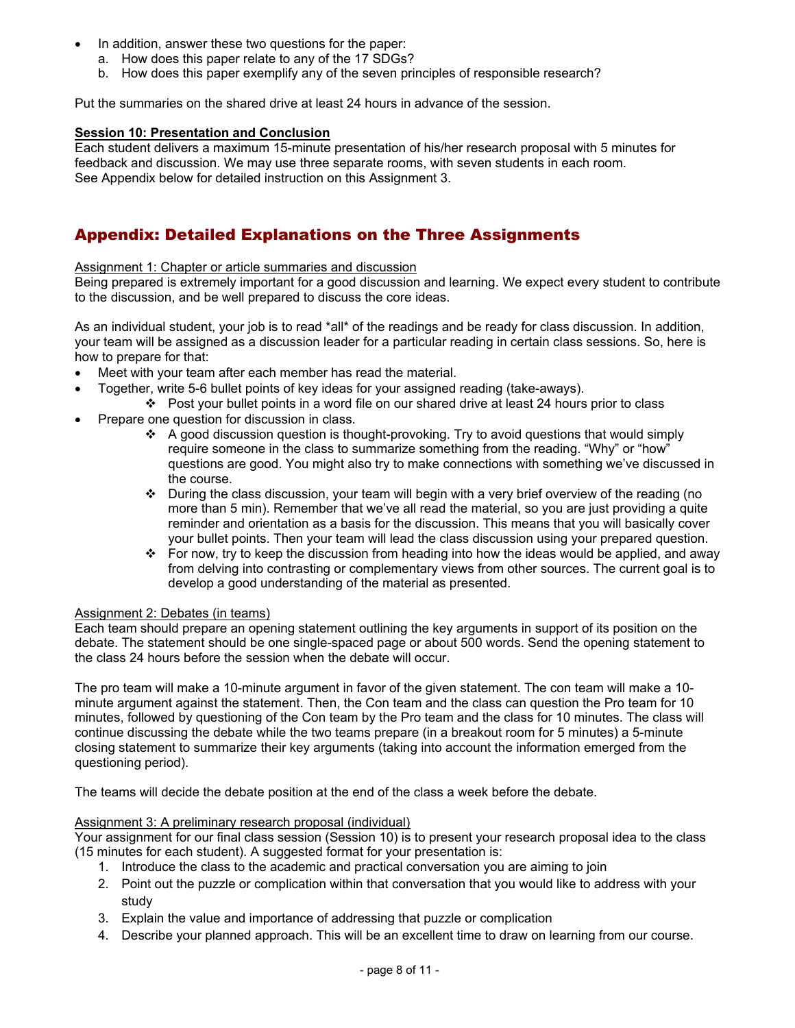- In addition, answer these two questions for the paper:
	- a. How does this paper relate to any of the 17 SDGs?
	- b. How does this paper exemplify any of the seven principles of responsible research?

Put the summaries on the shared drive at least 24 hours in advance of the session.

#### **Session 10: Presentation and Conclusion**

Each student delivers a maximum 15-minute presentation of his/her research proposal with 5 minutes for feedback and discussion. We may use three separate rooms, with seven students in each room. See Appendix below for detailed instruction on this Assignment 3.

# Appendix: Detailed Explanations on the Three Assignments

#### Assignment 1: Chapter or article summaries and discussion

Being prepared is extremely important for a good discussion and learning. We expect every student to contribute to the discussion, and be well prepared to discuss the core ideas.

As an individual student, your job is to read \*all\* of the readings and be ready for class discussion. In addition, your team will be assigned as a discussion leader for a particular reading in certain class sessions. So, here is how to prepare for that:

- Meet with your team after each member has read the material.
- Together, write 5-6 bullet points of key ideas for your assigned reading (take-aways).
- $\div$  Post your bullet points in a word file on our shared drive at least 24 hours prior to class
- Prepare one question for discussion in class.
	- $\div$  A good discussion question is thought-provoking. Try to avoid questions that would simply require someone in the class to summarize something from the reading. "Why" or "how" questions are good. You might also try to make connections with something we've discussed in the course.
	- $\cdot \cdot$  During the class discussion, your team will begin with a very brief overview of the reading (no more than 5 min). Remember that we've all read the material, so you are just providing a quite reminder and orientation as a basis for the discussion. This means that you will basically cover your bullet points. Then your team will lead the class discussion using your prepared question.
	- For now, try to keep the discussion from heading into how the ideas would be applied, and away from delving into contrasting or complementary views from other sources. The current goal is to develop a good understanding of the material as presented.

#### Assignment 2: Debates (in teams)

Each team should prepare an opening statement outlining the key arguments in support of its position on the debate. The statement should be one single-spaced page or about 500 words. Send the opening statement to the class 24 hours before the session when the debate will occur.

The pro team will make a 10-minute argument in favor of the given statement. The con team will make a 10 minute argument against the statement. Then, the Con team and the class can question the Pro team for 10 minutes, followed by questioning of the Con team by the Pro team and the class for 10 minutes. The class will continue discussing the debate while the two teams prepare (in a breakout room for 5 minutes) a 5-minute closing statement to summarize their key arguments (taking into account the information emerged from the questioning period).

The teams will decide the debate position at the end of the class a week before the debate.

#### Assignment 3: A preliminary research proposal (individual)

Your assignment for our final class session (Session 10) is to present your research proposal idea to the class (15 minutes for each student). A suggested format for your presentation is:

- 1. Introduce the class to the academic and practical conversation you are aiming to join
- 2. Point out the puzzle or complication within that conversation that you would like to address with your study
- 3. Explain the value and importance of addressing that puzzle or complication
- 4. Describe your planned approach. This will be an excellent time to draw on learning from our course.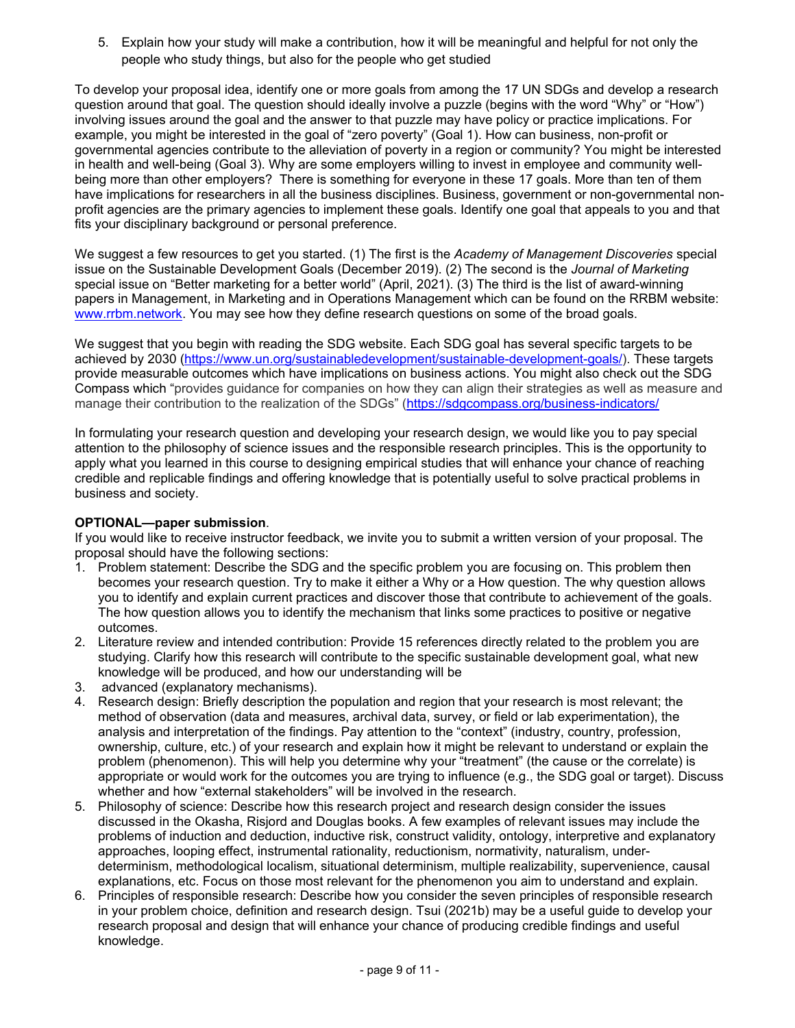5. Explain how your study will make a contribution, how it will be meaningful and helpful for not only the people who study things, but also for the people who get studied

To develop your proposal idea, identify one or more goals from among the 17 UN SDGs and develop a research question around that goal. The question should ideally involve a puzzle (begins with the word "Why" or "How") involving issues around the goal and the answer to that puzzle may have policy or practice implications. For example, you might be interested in the goal of "zero poverty" (Goal 1). How can business, non-profit or governmental agencies contribute to the alleviation of poverty in a region or community? You might be interested in health and well-being (Goal 3). Why are some employers willing to invest in employee and community wellbeing more than other employers? There is something for everyone in these 17 goals. More than ten of them have implications for researchers in all the business disciplines. Business, government or non-governmental nonprofit agencies are the primary agencies to implement these goals. Identify one goal that appeals to you and that fits your disciplinary background or personal preference.

We suggest a few resources to get you started. (1) The first is the *Academy of Management Discoveries* special issue on the Sustainable Development Goals (December 2019). (2) The second is the *Journal of Marketing* special issue on "Better marketing for a better world" (April, 2021). (3) The third is the list of award-winning papers in Management, in Marketing and in Operations Management which can be found on the RRBM website: www.rrbm.network. You may see how they define research questions on some of the broad goals.

We suggest that you begin with reading the SDG website. Each SDG goal has several specific targets to be achieved by 2030 (https://www.un.org/sustainabledevelopment/sustainable-development-goals/). These targets provide measurable outcomes which have implications on business actions. You might also check out the SDG Compass which "provides guidance for companies on how they can align their strategies as well as measure and manage their contribution to the realization of the SDGs" (https://sdgcompass.org/business-indicators/

In formulating your research question and developing your research design, we would like you to pay special attention to the philosophy of science issues and the responsible research principles. This is the opportunity to apply what you learned in this course to designing empirical studies that will enhance your chance of reaching credible and replicable findings and offering knowledge that is potentially useful to solve practical problems in business and society.

### **OPTIONAL—paper submission**.

If you would like to receive instructor feedback, we invite you to submit a written version of your proposal. The proposal should have the following sections:

- 1. Problem statement: Describe the SDG and the specific problem you are focusing on. This problem then becomes your research question. Try to make it either a Why or a How question. The why question allows you to identify and explain current practices and discover those that contribute to achievement of the goals. The how question allows you to identify the mechanism that links some practices to positive or negative outcomes.
- 2. Literature review and intended contribution: Provide 15 references directly related to the problem you are studying. Clarify how this research will contribute to the specific sustainable development goal, what new knowledge will be produced, and how our understanding will be
- 3. advanced (explanatory mechanisms).
- 4. Research design: Briefly description the population and region that your research is most relevant; the method of observation (data and measures, archival data, survey, or field or lab experimentation), the analysis and interpretation of the findings. Pay attention to the "context" (industry, country, profession, ownership, culture, etc.) of your research and explain how it might be relevant to understand or explain the problem (phenomenon). This will help you determine why your "treatment" (the cause or the correlate) is appropriate or would work for the outcomes you are trying to influence (e.g., the SDG goal or target). Discuss whether and how "external stakeholders" will be involved in the research.
- 5. Philosophy of science: Describe how this research project and research design consider the issues discussed in the Okasha, Risjord and Douglas books. A few examples of relevant issues may include the problems of induction and deduction, inductive risk, construct validity, ontology, interpretive and explanatory approaches, looping effect, instrumental rationality, reductionism, normativity, naturalism, underdeterminism, methodological localism, situational determinism, multiple realizability, supervenience, causal explanations, etc. Focus on those most relevant for the phenomenon you aim to understand and explain.
- 6. Principles of responsible research: Describe how you consider the seven principles of responsible research in your problem choice, definition and research design. Tsui (2021b) may be a useful guide to develop your research proposal and design that will enhance your chance of producing credible findings and useful knowledge.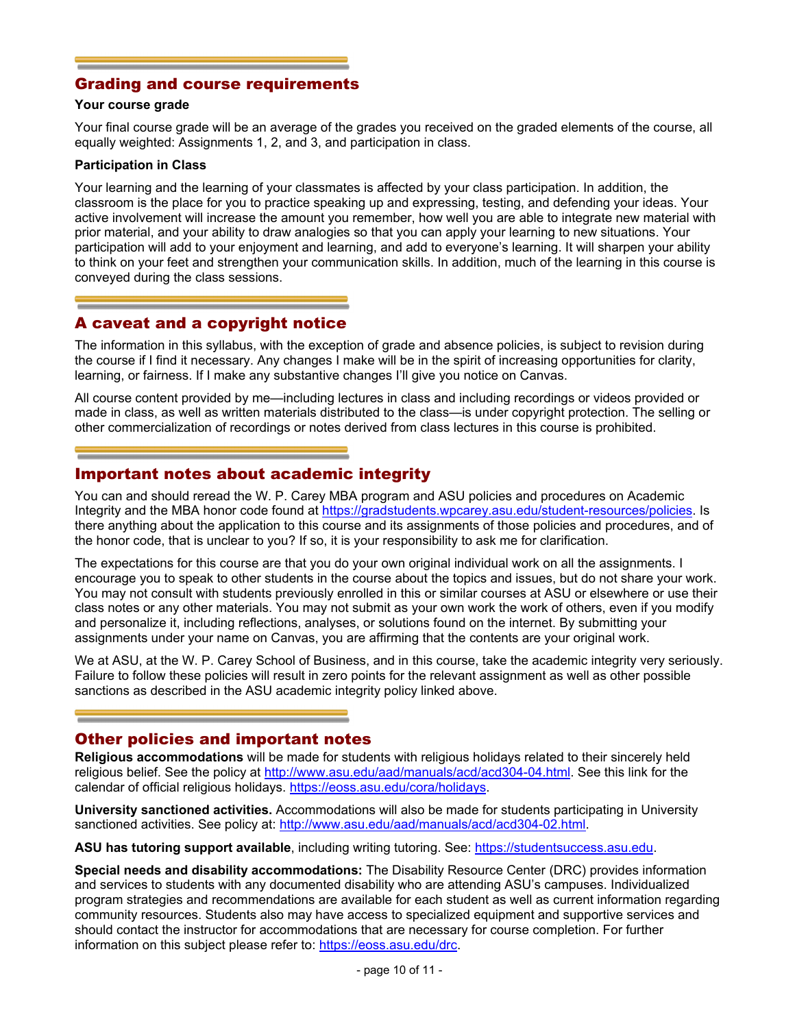### Grading and course requirements

#### **Your course grade**

Your final course grade will be an average of the grades you received on the graded elements of the course, all equally weighted: Assignments 1, 2, and 3, and participation in class.

#### **Participation in Class**

Your learning and the learning of your classmates is affected by your class participation. In addition, the classroom is the place for you to practice speaking up and expressing, testing, and defending your ideas. Your active involvement will increase the amount you remember, how well you are able to integrate new material with prior material, and your ability to draw analogies so that you can apply your learning to new situations. Your participation will add to your enjoyment and learning, and add to everyone's learning. It will sharpen your ability to think on your feet and strengthen your communication skills. In addition, much of the learning in this course is conveyed during the class sessions.

### A caveat and a copyright notice

The information in this syllabus, with the exception of grade and absence policies, is subject to revision during the course if I find it necessary. Any changes I make will be in the spirit of increasing opportunities for clarity, learning, or fairness. If I make any substantive changes I'll give you notice on Canvas.

All course content provided by me—including lectures in class and including recordings or videos provided or made in class, as well as written materials distributed to the class—is under copyright protection. The selling or other commercialization of recordings or notes derived from class lectures in this course is prohibited.

### Important notes about academic integrity

You can and should reread the W. P. Carey MBA program and ASU policies and procedures on Academic Integrity and the MBA honor code found at https://gradstudents.wpcarey.asu.edu/student-resources/policies. Is there anything about the application to this course and its assignments of those policies and procedures, and of the honor code, that is unclear to you? If so, it is your responsibility to ask me for clarification.

The expectations for this course are that you do your own original individual work on all the assignments. I encourage you to speak to other students in the course about the topics and issues, but do not share your work. You may not consult with students previously enrolled in this or similar courses at ASU or elsewhere or use their class notes or any other materials. You may not submit as your own work the work of others, even if you modify and personalize it, including reflections, analyses, or solutions found on the internet. By submitting your assignments under your name on Canvas, you are affirming that the contents are your original work.

We at ASU, at the W. P. Carey School of Business, and in this course, take the academic integrity very seriously. Failure to follow these policies will result in zero points for the relevant assignment as well as other possible sanctions as described in the ASU academic integrity policy linked above.

### Other policies and important notes

**Religious accommodations** will be made for students with religious holidays related to their sincerely held religious belief. See the policy at http://www.asu.edu/aad/manuals/acd/acd304-04.html. See this link for the calendar of official religious holidays. https://eoss.asu.edu/cora/holidays.

**University sanctioned activities.** Accommodations will also be made for students participating in University sanctioned activities. See policy at: http://www.asu.edu/aad/manuals/acd/acd304-02.html.

**ASU has tutoring support available**, including writing tutoring. See: https://studentsuccess.asu.edu.

**Special needs and disability accommodations:** The Disability Resource Center (DRC) provides information and services to students with any documented disability who are attending ASU's campuses. Individualized program strategies and recommendations are available for each student as well as current information regarding community resources. Students also may have access to specialized equipment and supportive services and should contact the instructor for accommodations that are necessary for course completion. For further information on this subject please refer to: https://eoss.asu.edu/drc.